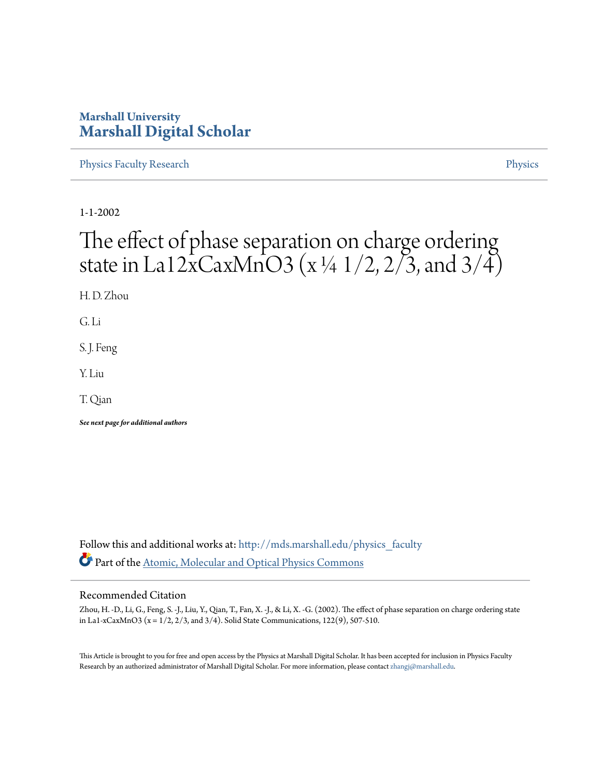### **Marshall University [Marshall Digital Scholar](http://mds.marshall.edu?utm_source=mds.marshall.edu%2Fphysics_faculty%2F15&utm_medium=PDF&utm_campaign=PDFCoverPages)**

[Physics Faculty Research](http://mds.marshall.edu/physics_faculty?utm_source=mds.marshall.edu%2Fphysics_faculty%2F15&utm_medium=PDF&utm_campaign=PDFCoverPages) **[Physics](http://mds.marshall.edu/physics?utm_source=mds.marshall.edu%2Fphysics_faculty%2F15&utm_medium=PDF&utm_campaign=PDFCoverPages)** 

1-1-2002

# The effect of phase separation on charge ordering state in La12xCaxMnO3 (x ¼ 1/2, 2/3, and 3/4)

H. D. Zhou

G. Li

S. J. Feng

Y. Liu

T. Qian

*See next page for additional authors*

Follow this and additional works at: [http://mds.marshall.edu/physics\\_faculty](http://mds.marshall.edu/physics_faculty?utm_source=mds.marshall.edu%2Fphysics_faculty%2F15&utm_medium=PDF&utm_campaign=PDFCoverPages) Part of the [Atomic, Molecular and Optical Physics Commons](http://network.bepress.com/hgg/discipline/195?utm_source=mds.marshall.edu%2Fphysics_faculty%2F15&utm_medium=PDF&utm_campaign=PDFCoverPages)

#### Recommended Citation

Zhou, H. -D., Li, G., Feng, S. -J., Liu, Y., Qian, T., Fan, X. -J., & Li, X. -G. (2002). The effect of phase separation on charge ordering state in La1-xCaxMnO3 ( $x = 1/2$ ,  $2/3$ , and  $3/4$ ). Solid State Communications, 122(9), 507-510.

This Article is brought to you for free and open access by the Physics at Marshall Digital Scholar. It has been accepted for inclusion in Physics Faculty Research by an authorized administrator of Marshall Digital Scholar. For more information, please contact [zhangj@marshall.edu.](mailto:zhangj@marshall.edu)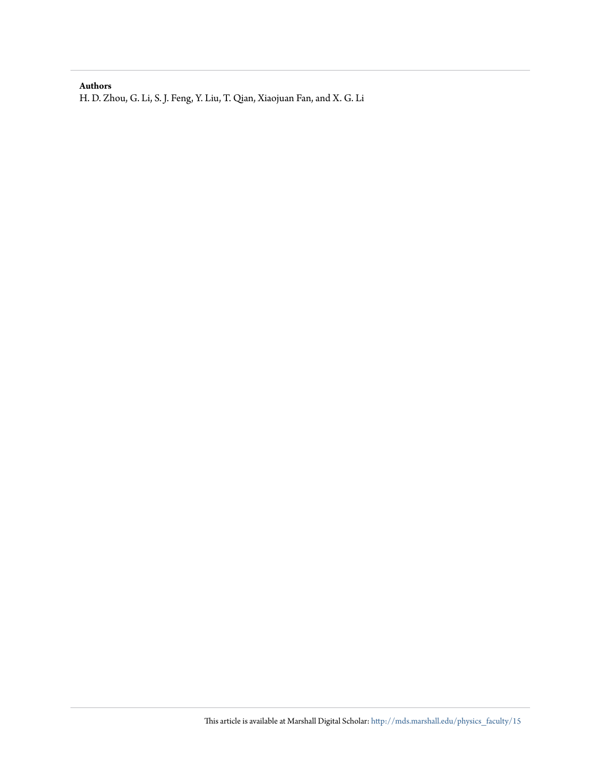#### **Authors**

H. D. Zhou, G. Li, S. J. Feng, Y. Liu, T. Qian, Xiaojuan Fan, and X. G. Li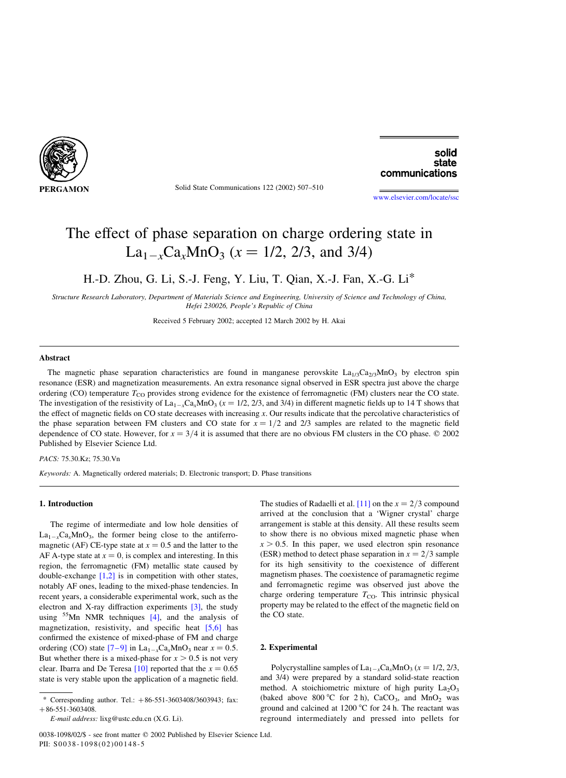

Solid State Communications 122 (2002) 507–510

solid state communications

[www.elsevier.com/locate/ssc](http://www.elsevier.com/locate/ssc)

## The effect of phase separation on charge ordering state in  $La_{1-x}Ca_xMnO_3$  ( $x = 1/2, 2/3,$  and 3/4)

H.-D. Zhou, G. Li, S.-J. Feng, Y. Liu, T. Qian, X.-J. Fan, X.-G. Li\*

Structure Research Laboratory, Department of Materials Science and Engineering, University of Science and Technology of China, Hefei 230026, People's Republic of China

Received 5 February 2002; accepted 12 March 2002 by H. Akai

#### Abstract

The magnetic phase separation characteristics are found in manganese perovskite  $La_{1/3}Ca_{2/3}MnO_3$  by electron spin resonance (ESR) and magnetization measurements. An extra resonance signal observed in ESR spectra just above the charge ordering (CO) temperature  $T_{\text{CO}}$  provides strong evidence for the existence of ferromagnetic (FM) clusters near the CO state. The investigation of the resistivity of  $La_{1-x}Ca_xMnO_3$  ( $x = 1/2$ , 2/3, and 3/4) in different magnetic fields up to 14 T shows that the effect of magnetic fields on CO state decreases with increasing  $x$ . Our results indicate that the percolative characteristics of the phase separation between FM clusters and CO state for  $x = 1/2$  and 2/3 samples are related to the magnetic field dependence of CO state. However, for  $x = 3/4$  it is assumed that there are no obvious FM clusters in the CO phase.  $\circ$  2002 Published by Elsevier Science Ltd.

PACS: 75.30.Kz; 75.30.Vn

Keywords: A. Magnetically ordered materials; D. Electronic transport; D. Phase transitions

#### 1. Introduction

The regime of intermediate and low hole densities of  $La_{1-x}Ca_xMnO_3$ , the former being close to the antiferromagnetic (AF) CE-type state at  $x = 0.5$  and the latter to the AF A-type state at  $x = 0$ , is complex and interesting. In this region, the ferromagnetic (FM) metallic state caused by double-exchange [1,2] is in competition with other states, notably AF ones, leading to the mixed-phase tendencies. In recent years, a considerable experimental work, such as the electron and X-ray diffraction experiments [3], the study using  $55$ Mn NMR techniques [4], and the analysis of magnetization, resistivity, and specific heat [5,6] has confirmed the existence of mixed-phase of FM and charge ordering (CO) state  $[7-9]$  in  $La_{1-x}Ca_xMnO_3$  near  $x = 0.5$ . But whether there is a mixed-phase for  $x > 0.5$  is not very clear. Ibarra and De Teresa [10] reported that the  $x = 0.65$ state is very stable upon the application of a magnetic field.

0038-1098/02/\$ - see front matter © 2002 Published by Elsevier Science Ltd. PII:  $S0038 - 1098(02)00148 - 5$ 

The studies of Radaelli et al. [11] on the  $x = 2/3$  compound arrived at the conclusion that a 'Wigner crystal' charge arrangement is stable at this density. All these results seem to show there is no obvious mixed magnetic phase when  $x > 0.5$ . In this paper, we used electron spin resonance (ESR) method to detect phase separation in  $x = 2/3$  sample for its high sensitivity to the coexistence of different magnetism phases. The coexistence of paramagnetic regime and ferromagnetic regime was observed just above the charge ordering temperature  $T_{CO}$ . This intrinsic physical property may be related to the effect of the magnetic field on the CO state.

#### 2. Experimental

Polycrystalline samples of  $La_{1-x}Ca_xMnO_3$  ( $x = 1/2, 2/3,$ and 3/4) were prepared by a standard solid-state reaction method. A stoichiometric mixture of high purity  $La_2O_3$ (baked above 800 °C for 2 h),  $CaCO<sub>3</sub>$ , and MnO<sub>2</sub> was ground and calcined at 1200  $\degree$ C for 24 h. The reactant was reground intermediately and pressed into pellets for

Corresponding author. Tel.:  $+86-551-3603408/3603943$ ; fax:  $+86-551-3603408.$ 

E-mail address: lixg@ustc.edu.cn (X.G. Li).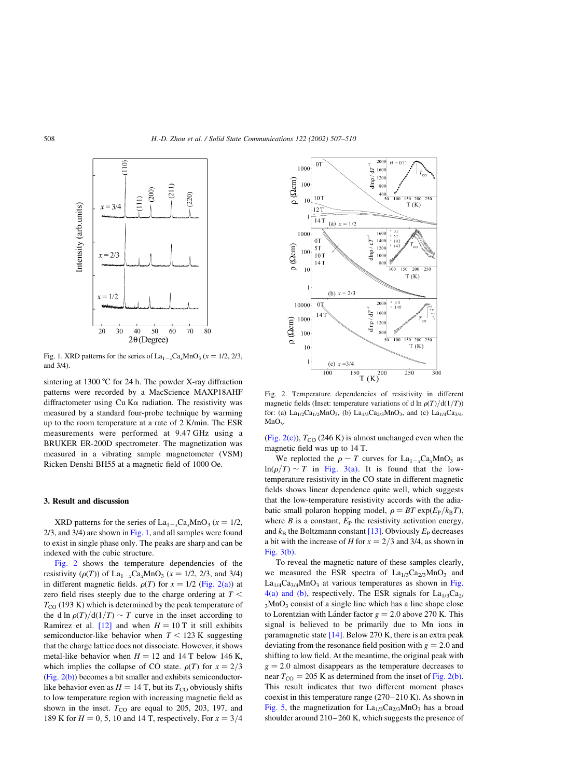

Fig. 1. XRD patterns for the series of  $La_{1-x}Ca_xMnO_3$  ( $x = 1/2, 2/3$ , and 3/4).

sintering at 1300 °C for 24 h. The powder X-ray diffraction patterns were recorded by a MacScience MAXP18AHF diffractometer using  $Cu K<sub>\alpha</sub>$  radiation. The resistivity was measured by a standard four-probe technique by warming up to the room temperature at a rate of 2 K/min. The ESR measurements were performed at 9.47 GHz using a BRUKER ER-200D spectrometer. The magnetization was measured in a vibrating sample magnetometer (VSM) Ricken Denshi BH55 at a magnetic field of 1000 Oe.

#### 3. Result and discussion

XRD patterns for the series of  $La_{1-x}Ca_xMnO_3$  ( $x = 1/2$ ,  $2/3$ , and  $3/4$ ) are shown in Fig. 1, and all samples were found to exist in single phase only. The peaks are sharp and can be indexed with the cubic structure.

Fig. 2 shows the temperature dependencies of the resistivity ( $\rho(T)$ ) of La<sub>1-x</sub>Ca<sub>x</sub>MnO<sub>3</sub> ( $x = 1/2, 2/3,$  and 3/4) in different magnetic fields.  $\rho(T)$  for  $x = 1/2$  (Fig. 2(a)) at zero field rises steeply due to the charge ordering at  $T <$  $T_{\rm CO}$  (193 K) which is determined by the peak temperature of the d ln  $\rho(T)/d(1/T) \sim T$  curve in the inset according to Ramirez et al. [12] and when  $H = 10$  T it still exhibits semiconductor-like behavior when  $T < 123$  K suggesting that the charge lattice does not dissociate. However, it shows metal-like behavior when  $H = 12$  and 14 T below 146 K. which implies the collapse of CO state.  $\rho(T)$  for  $x = 2/3$  $(Fig. 2(b))$  becomes a bit smaller and exhibits semiconductorlike behavior even as  $H = 14$  T, but its  $T_{\rm CO}$  obviously shifts to low temperature region with increasing magnetic field as shown in the inset.  $T_{CO}$  are equal to 205, 203, 197, and 189 K for  $H = 0, 5, 10$  and 14 T, respectively. For  $x = 3/4$ 



Fig. 2. Temperature dependencies of resistivity in different magnetic fields (Inset: temperature variations of d ln  $\rho(T)/d(1/T)$ ) for: (a)  $La_{1/2}Ca_{1/2}MnO_3$ , (b)  $La_{1/3}Ca_{2/3}MnO_3$ , and (c)  $La_{1/4}Ca_{3/4}$ .  $MnO<sub>2</sub>$ 

(Fig. 2(c)),  $T_{\text{CO}}$  (246 K) is almost unchanged even when the magnetic field was up to 14 T.

We replotted the  $\rho \sim T$  curves for  $\text{La}_{1-x}\text{Ca}_x\text{MnO}_3$  as  $ln(\rho/T) \sim T$  in Fig. 3(a). It is found that the lowtemperature resistivity in the CO state in different magnetic fields shows linear dependence quite well, which suggests that the low-temperature resistivity accords with the adiabatic small polaron hopping model,  $\rho = BT \exp(E_P/k_B T)$ , where  $B$  is a constant,  $E_P$  the resistivity activation energy, and  $k_B$  the Boltzmann constant [13]. Obviously  $E_P$  decreases a bit with the increase of H for  $x = 2/3$  and 3/4, as shown in Fig. 3(b).

To reveal the magnetic nature of these samples clearly, we measured the ESR spectra of  $La_{1/3}Ca_{2/3}MnO_3$  and  $La<sub>1/4</sub>Ca<sub>3/4</sub>MnO<sub>3</sub>$  at various temperatures as shown in Fig. 4(a) and (b), respectively. The ESR signals for  $La<sub>1/3</sub>Ca<sub>2</sub>$  $3MnO<sub>3</sub>$  consist of a single line which has a line shape close to Lorentzian with Lánder factor  $g = 2.0$  above 270 K. This signal is believed to be primarily due to Mn ions in paramagnetic state [14]. Below 270 K, there is an extra peak deviating from the resonance field position with  $g = 2.0$  and shifting to low field. At the meantime, the original peak with  $g = 2.0$  almost disappears as the temperature decreases to near  $T_{\text{CO}} = 205$  K as determined from the inset of Fig. 2(b). This result indicates that two different moment phases coexist in this temperature range (270–210 K). As shown in Fig. 5, the magnetization for  $La<sub>1/3</sub>Ca<sub>2/3</sub>MnO<sub>3</sub>$  has a broad shoulder around 210–260 K, which suggests the presence of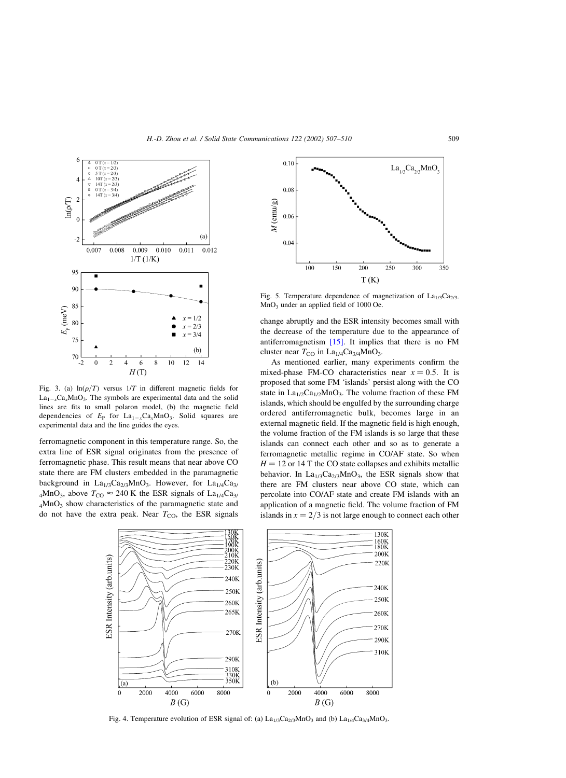

Fig. 3. (a)  $ln(\rho/T)$  versus  $1/T$  in different magnetic fields for  $La_{1-x}Ca_xMnO_3$ . The symbols are experimental data and the solid lines are fits to small polaron model, (b) the magnetic field dependencies of  $E_P$  for  $La_{1-x}Ca_xMnO_3$ . Solid squares are experimental data and the line guides the eyes.

ferromagnetic component in this temperature range. So, the extra line of ESR signal originates from the presence of ferromagnetic phase. This result means that near above CO state there are FM clusters embedded in the paramagnetic background in  $La<sub>1/3</sub>Ca<sub>2/3</sub>MnO<sub>3</sub>$ . However, for  $La<sub>1/4</sub>Ca<sub>3/3</sub>$  $_4$ MnO<sub>3</sub>, above  $T_{CO} \approx 240$  K the ESR signals of La<sub>1/4</sub>Ca<sub>3/</sub> 4MnO3 show characteristics of the paramagnetic state and do not have the extra peak. Near  $T_{\text{CO}}$ , the ESR signals



Fig. 5. Temperature dependence of magnetization of  $La<sub>1/3</sub>Ca<sub>2/3</sub>$ MnO3 under an applied field of 1000 Oe.

change abruptly and the ESR intensity becomes small with the decrease of the temperature due to the appearance of antiferromagnetism  $[15]$ . It implies that there is no FM cluster near  $T_{CO}$  in La<sub>1/4</sub>Ca<sub>3/4</sub>MnO<sub>3</sub>.

As mentioned earlier, many experiments confirm the mixed-phase FM-CO characteristics near  $x = 0.5$ . It is proposed that some FM 'islands' persist along with the CO state in  $La<sub>1/2</sub>Ca<sub>1/2</sub>MnO<sub>3</sub>$ . The volume fraction of these FM islands, which should be engulfed by the surrounding charge ordered antiferromagnetic bulk, becomes large in an external magnetic field. If the magnetic field is high enough, the volume fraction of the FM islands is so large that these islands can connect each other and so as to generate a ferromagnetic metallic regime in CO/AF state. So when  $H = 12$  or 14 T the CO state collapses and exhibits metallic behavior. In  $La<sub>1/3</sub>Ca<sub>2/3</sub>MnO<sub>3</sub>$ , the ESR signals show that there are FM clusters near above CO state, which can percolate into CO/AF state and create FM islands with an application of a magnetic field. The volume fraction of FM islands in  $x = 2/3$  is not large enough to connect each other



Fig. 4. Temperature evolution of ESR signal of: (a)  $La<sub>1/3</sub>Ca<sub>2/3</sub>MnO<sub>3</sub>$  and (b)  $La<sub>1/4</sub>Ca<sub>3/4</sub>MnO<sub>3</sub>$ .